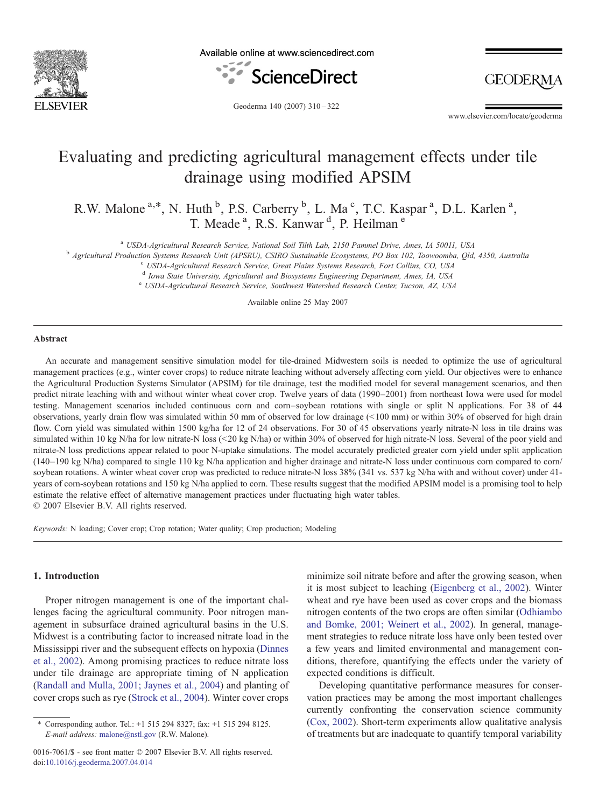

Available online at www.sciencedirect.com



**GEODERM** 

Geoderma 140 (2007) 310–322

www.elsevier.com/locate/geoderma

# Evaluating and predicting agricultural management effects under tile drainage using modified APSIM

R.W. Malone <sup>a,\*</sup>, N. Huth <sup>b</sup>, P.S. Carberry <sup>b</sup>, L. Ma<sup>c</sup>, T.C. Kaspar<sup>a</sup>, D.L. Karlen<sup>a</sup>, T. Meade<sup>a</sup>, R.S. Kanwar<sup>d</sup>, P. Heilman<sup>e</sup>

<sup>a</sup> USDA-Agricultural Research Service, National Soil Tilth Lab, 2150 Pammel Drive, Ames, IA 50011, USA<br><sup>b</sup> Agricultural Production Systems Research Unit (APSRU), CSIRO Sustainable Ecosystems, PO Box 102, Toowoomba, Qld, 4

<sup>d</sup> Iowa State University, Agricultural and Biosystems Engineering Department, Ames, IA, USA

<sup>e</sup> USDA-Agricultural Research Service, Southwest Watershed Research Center, Tucson, AZ, USA

Available online 25 May 2007

## Abstract

An accurate and management sensitive simulation model for tile-drained Midwestern soils is needed to optimize the use of agricultural management practices (e.g., winter cover crops) to reduce nitrate leaching without adversely affecting corn yield. Our objectives were to enhance the Agricultural Production Systems Simulator (APSIM) for tile drainage, test the modified model for several management scenarios, and then predict nitrate leaching with and without winter wheat cover crop. Twelve years of data (1990–2001) from northeast Iowa were used for model testing. Management scenarios included continuous corn and corn–soybean rotations with single or split N applications. For 38 of 44 observations, yearly drain flow was simulated within 50 mm of observed for low drainage  $( $100 \text{ mm}$ ) or within 30% of observed for high drain$ flow. Corn yield was simulated within 1500 kg/ha for 12 of 24 observations. For 30 of 45 observations yearly nitrate-N loss in tile drains was simulated within 10 kg N/ha for low nitrate-N loss (<20 kg N/ha) or within 30% of observed for high nitrate-N loss. Several of the poor yield and nitrate-N loss predictions appear related to poor N-uptake simulations. The model accurately predicted greater corn yield under split application (140–190 kg N/ha) compared to single 110 kg N/ha application and higher drainage and nitrate-N loss under continuous corn compared to corn/ soybean rotations. A winter wheat cover crop was predicted to reduce nitrate-N loss 38% (341 vs. 537 kg N/ha with and without cover) under 41 years of corn-soybean rotations and 150 kg N/ha applied to corn. These results suggest that the modified APSIM model is a promising tool to help estimate the relative effect of alternative management practices under fluctuating high water tables. © 2007 Elsevier B.V. All rights reserved.

Keywords: N loading; Cover crop; Crop rotation; Water quality; Crop production; Modeling

#### 1. Introduction

Proper nitrogen management is one of the important challenges facing the agricultural community. Poor nitrogen management in subsurface drained agricultural basins in the U.S. Midwest is a contributing factor to increased nitrate load in the Mississippi river and the subsequent effects on hypoxia ([Dinnes](#page-11-0) [et al., 2002\)](#page-11-0). Among promising practices to reduce nitrate loss under tile drainage are appropriate timing of N application ([Randall and Mulla, 2001; Jaynes et al., 2004](#page-11-0)) and planting of cover crops such as rye [\(Strock et al., 2004\)](#page-11-0). Winter cover crops

minimize soil nitrate before and after the growing season, when it is most subject to leaching [\(Eigenberg et al., 2002](#page-11-0)). Winter wheat and rye have been used as cover crops and the biomass nitrogen contents of the two crops are often similar ([Odhiambo](#page-11-0) [and Bomke, 2001; Weinert et al., 2002](#page-11-0)). In general, management strategies to reduce nitrate loss have only been tested over a few years and limited environmental and management conditions, therefore, quantifying the effects under the variety of expected conditions is difficult.

Developing quantitative performance measures for conservation practices may be among the most important challenges currently confronting the conservation science community ([Cox, 2002\)](#page-11-0). Short-term experiments allow qualitative analysis of treatments but are inadequate to quantify temporal variability

<sup>⁎</sup> Corresponding author. Tel.: +1 515 294 8327; fax: +1 515 294 8125. E-mail address: [malone@nstl.gov](mailto:malone@nstl.gov) (R.W. Malone).

<sup>0016-7061/\$ -</sup> see front matter © 2007 Elsevier B.V. All rights reserved. doi:[10.1016/j.geoderma.2007.04.014](http://dx.doi.org/10.1016/j.geoderma.2007.04.014)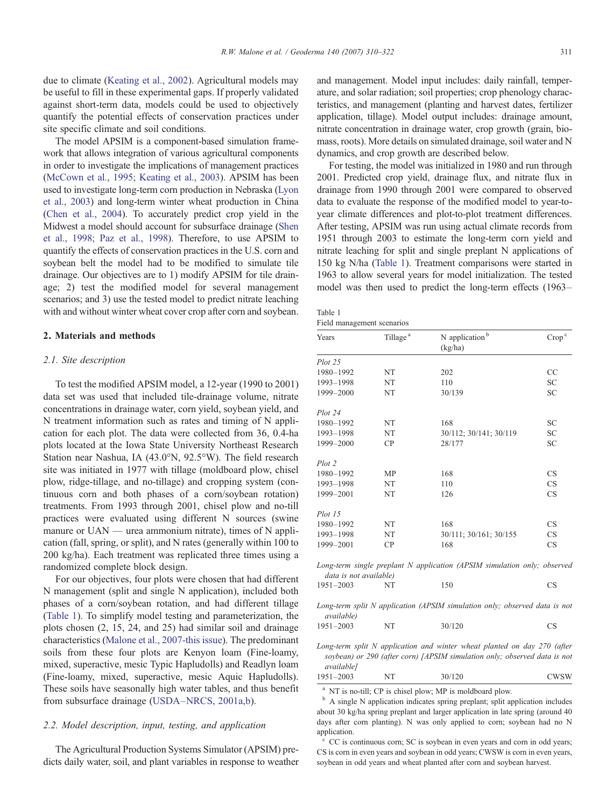<span id="page-1-0"></span>due to climate ([Keating et al., 2002](#page-11-0)). Agricultural models may be useful to fill in these experimental gaps. If properly validated against short-term data, models could be used to objectively quantify the potential effects of conservation practices under site specific climate and soil conditions.

The model APSIM is a component-based simulation framework that allows integration of various agricultural components in order to investigate the implications of management practices ([McCown et al., 1995; Keating et al., 2003](#page-11-0)). APSIM has been used to investigate long-term corn production in Nebraska [\(Lyon](#page-11-0) [et al., 2003\)](#page-11-0) and long-term winter wheat production in China ([Chen et al., 2004\)](#page-11-0). To accurately predict crop yield in the Midwest a model should account for subsurface drainage [\(Shen](#page-11-0) [et al., 1998; Paz et al., 1998](#page-11-0)). Therefore, to use APSIM to quantify the effects of conservation practices in the U.S. corn and soybean belt the model had to be modified to simulate tile drainage. Our objectives are to 1) modify APSIM for tile drainage; 2) test the modified model for several management scenarios; and 3) use the tested model to predict nitrate leaching with and without winter wheat cover crop after corn and soybean.

#### 2. Materials and methods

#### 2.1. Site description

To test the modified APSIM model, a 12-year (1990 to 2001) data set was used that included tile-drainage volume, nitrate concentrations in drainage water, corn yield, soybean yield, and N treatment information such as rates and timing of N application for each plot. The data were collected from 36, 0.4-ha plots located at the Iowa State University Northeast Research Station near Nashua, IA (43.0°N, 92.5°W). The field research site was initiated in 1977 with tillage (moldboard plow, chisel plow, ridge-tillage, and no-tillage) and cropping system (continuous corn and both phases of a corn/soybean rotation) treatments. From 1993 through 2001, chisel plow and no-till practices were evaluated using different N sources (swine manure or UAN — urea ammonium nitrate), times of N application (fall, spring, or split), and N rates (generally within 100 to 200 kg/ha). Each treatment was replicated three times using a randomized complete block design.

For our objectives, four plots were chosen that had different N management (split and single N application), included both phases of a corn/soybean rotation, and had different tillage (Table 1). To simplify model testing and parameterization, the plots chosen (2, 15, 24, and 25) had similar soil and drainage characteristics ([Malone et al., 2007-this issue](#page-11-0)). The predominant soils from these four plots are Kenyon loam (Fine-loamy, mixed, superactive, mesic Typic Hapludolls) and Readlyn loam (Fine-loamy, mixed, superactive, mesic Aquic Hapludolls). These soils have seasonally high water tables, and thus benefit from subsurface drainage (USDA–[NRCS, 2001a,b](#page-12-0)).

## 2.2. Model description, input, testing, and application

The Agricultural Production Systems Simulator (APSIM) predicts daily water, soil, and plant variables in response to weather and management. Model input includes: daily rainfall, temperature, and solar radiation; soil properties; crop phenology characteristics, and management (planting and harvest dates, fertilizer application, tillage). Model output includes: drainage amount, nitrate concentration in drainage water, crop growth (grain, biomass, roots). More details on simulated drainage, soil water and N dynamics, and crop growth are described below.

For testing, the model was initialized in 1980 and run through 2001. Predicted crop yield, drainage flux, and nitrate flux in drainage from 1990 through 2001 were compared to observed data to evaluate the response of the modified model to year-toyear climate differences and plot-to-plot treatment differences. After testing, APSIM was run using actual climate records from 1951 through 2003 to estimate the long-term corn yield and nitrate leaching for split and single preplant N applications of 150 kg N/ha (Table 1). Treatment comparisons were started in 1963 to allow several years for model initialization. The tested model was then used to predict the long-term effects (1963–

| Table 1 |                            |  |
|---------|----------------------------|--|
|         | Field management scenarios |  |

| Years                  | Tillage <sup>a</sup> | N application <sup>b</sup><br>(kg/ha)                                                                                                                 | Crop <sup>c</sup> |  |
|------------------------|----------------------|-------------------------------------------------------------------------------------------------------------------------------------------------------|-------------------|--|
| Plot 25                |                      |                                                                                                                                                       |                   |  |
| 1980-1992              | NT                   | 202                                                                                                                                                   | CC                |  |
| 1993-1998              | NT                   | 110                                                                                                                                                   | SC                |  |
| 1999-2000              | NT                   | 30/139                                                                                                                                                | <b>SC</b>         |  |
| Plot 24                |                      |                                                                                                                                                       |                   |  |
| 1980-1992              | NT                   | 168                                                                                                                                                   | <b>SC</b>         |  |
| 1993-1998              | NT                   | 30/112; 30/141; 30/119                                                                                                                                | SC                |  |
| 1999-2000              | CP                   | 28/177                                                                                                                                                | SC                |  |
| Plot 2                 |                      |                                                                                                                                                       |                   |  |
| 1980-1992              | MP                   | 168                                                                                                                                                   | CS                |  |
| 1993-1998              | NT                   | 110                                                                                                                                                   | CS                |  |
| 1999-2001              | NT                   | 126                                                                                                                                                   | <b>CS</b>         |  |
| Plot 15                |                      |                                                                                                                                                       |                   |  |
| 1980-1992              | NT                   | 168                                                                                                                                                   | <b>CS</b>         |  |
| 1993-1998              | NT                   | 30/111; 30/161; 30/155                                                                                                                                | CS                |  |
| 1999-2001              | CP                   | 168                                                                                                                                                   | CS                |  |
| data is not available) |                      | Long-term single preplant N application (APSIM simulation only; observed                                                                              |                   |  |
| 1951-2003              | NT                   | 150                                                                                                                                                   | <b>CS</b>         |  |
| <i>available</i> )     |                      | Long-term split N application (APSIM simulation only; observed data is not                                                                            |                   |  |
| 1951-2003              | NT                   | 30/120                                                                                                                                                | CS                |  |
|                        |                      | Long-term split N application and winter wheat planted on day 270 (after<br>soybean) or 290 (after corn) [APSIM simulation only; observed data is not |                   |  |

available] 1951–2003 NT 30/120 CWSW

<sup>a</sup> NT is no-till; CP is chisel plow; MP is moldboard plow.<br><sup>b</sup> A single N application indicates spring preplant; split application includes about 30 kg/ha spring preplant and larger application in late spring (around 40 days after corn planting). N was only applied to corn; soybean had no N application.

CC is continuous corn; SC is soybean in even years and corn in odd years; CS is corn in even years and soybean in odd years; CWSW is corn in even years, soybean in odd years and wheat planted after corn and soybean harvest.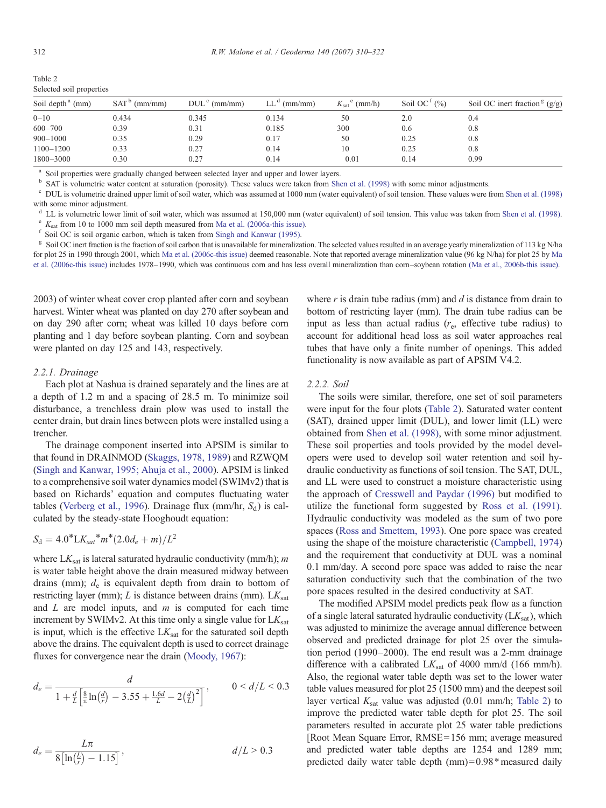| Soil depth <sup>a</sup> (mm) | SAT <sup>b</sup><br>$^{\circ}$ (mm/mm) | $DULc$ (mm/mm) | $LL^d$ (mm/mm) | $K_{\text{sat}}^{\text{e}}$ (mm/h) | Soil OC <sup><math>t</math> (%)</sup> | Soil OC inert fraction $g(g/g)$ |
|------------------------------|----------------------------------------|----------------|----------------|------------------------------------|---------------------------------------|---------------------------------|
| $_{0-10}$                    | 0.434                                  | 0.345          | 0.134          | 50                                 | 2.0                                   | 0.4                             |
| $600 - 700$                  | 0.39                                   | 0.31           | 0.185          | 300                                | 0.6                                   | 0.8                             |
| $900 - 1000$                 | 0.35                                   | 0.29           | 0.17           | 50                                 | 0.25                                  | 0.8                             |
| 1100-1200                    | 0.33                                   | 0.27           | 0.14           | 10                                 | 0.25                                  | 0.8                             |
| 1800-3000                    | 0.30                                   | 0.27           | 0.14           | 0.01                               | 0.14                                  | 0.99                            |
|                              |                                        |                |                |                                    |                                       |                                 |

<span id="page-2-0"></span>Table 2 Selected soil properties

<sup>a</sup> Soil properties were gradually changed between selected layer and upper and lower layers.<br><sup>b</sup> SAT is volumetric water content at saturation (porosity). These values were taken from Shen et al. (1998) with some minor ad

<sup>c</sup> DUL is volumetric drained upper limit of soil water, which was assumed at 1000 mm (water equivalent) of soil tension. These values were from [Shen et al. \(1998\)](#page-11-0) with some minor adjustment.

<sup>d</sup> LL is volumetric lower limit of soil water, which was assumed at 150,000 mm (water equivalent) of soil tension. This value was taken from [Shen et al. \(1998\).](#page-11-0)<br>
<sup>e</sup>  $K_{\text{sat}}$  from 10 to 1000 mm soil depth measured from

<sup>f</sup> Soil OC is soil organic carbon, which is taken from [Singh and Kanwar \(1995\).](#page-11-0)<br><sup>8</sup> Soil OC inert fraction is the fraction of soil carbon that is unavailable for mineralization. The selected values resulted in an average for plot 25 in 1990 through 2001, which [Ma et al. \(2006c-this issue\)](#page-11-0) deemed reasonable. Note that reported average mineralization value (96 kg N/ha) for plot 25 by [Ma](#page-11-0) [et al. \(2006c-this issue\)](#page-11-0) includes 1978–1990, which was continuous corn and has less overall mineralization than corn–soybean rotation [\(Ma et al., 2006b-this issue\).](#page-11-0)

2003) of winter wheat cover crop planted after corn and soybean harvest. Winter wheat was planted on day 270 after soybean and on day 290 after corn; wheat was killed 10 days before corn planting and 1 day before soybean planting. Corn and soybean were planted on day 125 and 143, respectively.

# 2.2.1. Drainage

Each plot at Nashua is drained separately and the lines are at a depth of 1.2 m and a spacing of 28.5 m. To minimize soil disturbance, a trenchless drain plow was used to install the center drain, but drain lines between plots were installed using a trencher.

The drainage component inserted into APSIM is similar to that found in DRAINMOD [\(Skaggs, 1978, 1989\)](#page-11-0) and RZWQM ([Singh and Kanwar, 1995; Ahuja et al., 2000](#page-11-0)). APSIM is linked to a comprehensive soil water dynamics model (SWIMv2) that is based on Richards' equation and computes fluctuating water tables [\(Verberg et al., 1996\)](#page-12-0). Drainage flux (mm/hr,  $S_d$ ) is calculated by the steady-state Hooghoudt equation:

$$
S_{\rm d} = 4.0^* L K_{\rm sat}^* m^* (2.0 d_e + m) / L^2
$$

where  $LK_{sat}$  is lateral saturated hydraulic conductivity (mm/h); m is water table height above the drain measured midway between drains (mm);  $d_e$  is equivalent depth from drain to bottom of restricting layer (mm);  $L$  is distance between drains (mm).  $LK_{sat}$ and  $L$  are model inputs, and  $m$  is computed for each time increment by SWIMv2. At this time only a single value for  $LK_{sat}$ is input, which is the effective  $LK_{sat}$  for the saturated soil depth above the drains. The equivalent depth is used to correct drainage fluxes for convergence near the drain ([Moody, 1967](#page-11-0)):

$$
d_e = \frac{d}{1 + \frac{d}{L} \left[ \frac{8}{\pi} \ln \left( \frac{d}{r} \right) - 3.55 + \frac{1.6d}{L} - 2 \left( \frac{d}{L} \right)^2 \right]}, \qquad 0 < d/L < 0.3
$$

$$
d_e = \frac{L\pi}{8\left[\ln\left(\frac{L}{r}\right) - 1.15\right]}, \qquad d/L > 0.3
$$

where  $r$  is drain tube radius (mm) and  $d$  is distance from drain to bottom of restricting layer (mm). The drain tube radius can be input as less than actual radius  $(r_{e}$ , effective tube radius) to account for additional head loss as soil water approaches real tubes that have only a finite number of openings. This added functionality is now available as part of APSIM V4.2.

# 2.2.2. Soil

The soils were similar, therefore, one set of soil parameters were input for the four plots (Table 2). Saturated water content (SAT), drained upper limit (DUL), and lower limit (LL) were obtained from [Shen et al. \(1998\)](#page-11-0), with some minor adjustment. These soil properties and tools provided by the model developers were used to develop soil water retention and soil hydraulic conductivity as functions of soil tension. The SAT, DUL, and LL were used to construct a moisture characteristic using the approach of [Cresswell and Paydar \(1996\)](#page-11-0) but modified to utilize the functional form suggested by [Ross et al. \(1991\)](#page-11-0). Hydraulic conductivity was modeled as the sum of two pore spaces ([Ross and Smettem, 1993](#page-11-0)). One pore space was created using the shape of the moisture characteristic [\(Campbell, 1974\)](#page-11-0) and the requirement that conductivity at DUL was a nominal 0.1 mm/day. A second pore space was added to raise the near saturation conductivity such that the combination of the two pore spaces resulted in the desired conductivity at SAT.

The modified APSIM model predicts peak flow as a function of a single lateral saturated hydraulic conductivity  $(LK_{\text{sat}})$ , which was adjusted to minimize the average annual difference between observed and predicted drainage for plot 25 over the simulation period (1990–2000). The end result was a 2-mm drainage difference with a calibrated  $LK_{\text{sat}}$  of 4000 mm/d (166 mm/h). Also, the regional water table depth was set to the lower water table values measured for plot 25 (1500 mm) and the deepest soil layer vertical  $K_{\text{sat}}$  value was adjusted (0.01 mm/h; Table 2) to improve the predicted water table depth for plot 25. The soil parameters resulted in accurate plot 25 water table predictions [Root Mean Square Error, RMSE= 156 mm; average measured and predicted water table depths are 1254 and 1289 mm; predicted daily water table depth  $(mm)= 0.98*$  measured daily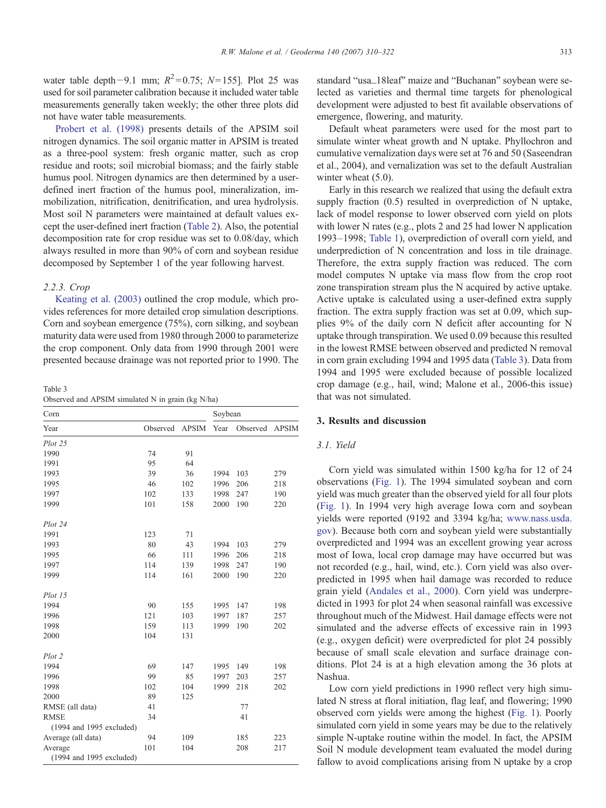<span id="page-3-0"></span>water table depth−9.1 mm;  $R^2 = 0.75$ ; N= 155]. Plot 25 was used for soil parameter calibration because it included water table measurements generally taken weekly; the other three plots did not have water table measurements.

[Probert et al. \(1998\)](#page-11-0) presents details of the APSIM soil nitrogen dynamics. The soil organic matter in APSIM is treated as a three-pool system: fresh organic matter, such as crop residue and roots; soil microbial biomass; and the fairly stable humus pool. Nitrogen dynamics are then determined by a userdefined inert fraction of the humus pool, mineralization, immobilization, nitrification, denitrification, and urea hydrolysis. Most soil N parameters were maintained at default values except the user-defined inert fraction ([Table 2\)](#page-2-0). Also, the potential decomposition rate for crop residue was set to 0.08/day, which always resulted in more than 90% of corn and soybean residue decomposed by September 1 of the year following harvest.

#### 2.2.3. Crop

[Keating et al. \(2003\)](#page-11-0) outlined the crop module, which provides references for more detailed crop simulation descriptions. Corn and soybean emergence (75%), corn silking, and soybean maturity data were used from 1980 through 2000 to parameterize the crop component. Only data from 1990 through 2001 were presented because drainage was not reported prior to 1990. The

Table 3

Observed and APSIM simulated N in grain (kg N/ha)

| Corn                     |          |              | Soybean |          |              |
|--------------------------|----------|--------------|---------|----------|--------------|
| Year                     | Observed | <b>APSIM</b> | Year    | Observed | <b>APSIM</b> |
| $Plot\ 25$               |          |              |         |          |              |
| 1990                     | 74       | 91           |         |          |              |
| 1991                     | 95       | 64           |         |          |              |
| 1993                     | 39       | 36           | 1994    | 103      | 279          |
| 1995                     | 46       | 102          | 1996    | 206      | 218          |
| 1997                     | 102      | 133          | 1998    | 247      | 190          |
| 1999                     | 101      | 158          | 2000    | 190      | 220          |
| Plot 24                  |          |              |         |          |              |
| 1991                     | 123      | 71           |         |          |              |
| 1993                     | 80       | 43           | 1994    | 103      | 279          |
| 1995                     | 66       | 111          | 1996    | 206      | 218          |
| 1997                     | 114      | 139          | 1998    | 247      | 190          |
| 1999                     | 114      | 161          | 2000    | 190      | 220          |
| Plot 15                  |          |              |         |          |              |
| 1994                     | 90       | 155          | 1995    | 147      | 198          |
| 1996                     | 121      | 103          | 1997    | 187      | 257          |
| 1998                     | 159      | 113          | 1999    | 190      | 202          |
| 2000                     | 104      | 131          |         |          |              |
| Plot 2                   |          |              |         |          |              |
| 1994                     | 69       | 147          | 1995    | 149      | 198          |
| 1996                     | 99       | 85           | 1997    | 203      | 257          |
| 1998                     | 102      | 104          | 1999    | 218      | 202          |
| 2000                     | 89       | 125          |         |          |              |
| RMSE (all data)          | 41       |              |         | 77       |              |
| <b>RMSE</b>              | 34       |              |         | 41       |              |
| (1994 and 1995 excluded) |          |              |         |          |              |
| Average (all data)       | 94       | 109          |         | 185      | 223          |
| Average                  | 101      | 104          |         | 208      | 217          |
| (1994 and 1995 excluded) |          |              |         |          |              |

standard "usa\_18leaf" maize and "Buchanan" soybean were selected as varieties and thermal time targets for phenological development were adjusted to best fit available observations of emergence, flowering, and maturity.

Default wheat parameters were used for the most part to simulate winter wheat growth and N uptake. Phyllochron and cumulative vernalization days were set at 76 and 50 (Saseendran et al., 2004), and vernalization was set to the default Australian winter wheat  $(5.0)$ .

Early in this research we realized that using the default extra supply fraction (0.5) resulted in overprediction of N uptake, lack of model response to lower observed corn yield on plots with lower N rates (e.g., plots 2 and 25 had lower N application 1993–1998; [Table 1\)](#page-1-0), overprediction of overall corn yield, and underprediction of N concentration and loss in tile drainage. Therefore, the extra supply fraction was reduced. The corn model computes N uptake via mass flow from the crop root zone transpiration stream plus the N acquired by active uptake. Active uptake is calculated using a user-defined extra supply fraction. The extra supply fraction was set at 0.09, which supplies 9% of the daily corn N deficit after accounting for N uptake through transpiration. We used 0.09 because this resulted in the lowest RMSE between observed and predicted N removal in corn grain excluding 1994 and 1995 data (Table 3). Data from 1994 and 1995 were excluded because of possible localized crop damage (e.g., hail, wind; Malone et al., 2006-this issue) that was not simulated.

## 3. Results and discussion

### 3.1. Yield

Corn yield was simulated within 1500 kg/ha for 12 of 24 observations [\(Fig. 1\)](#page-4-0). The 1994 simulated soybean and corn yield was much greater than the observed yield for all four plots ([Fig. 1\)](#page-4-0). In 1994 very high average Iowa corn and soybean yields were reported (9192 and 3394 kg/ha; [www.nass.usda.](http://www.nass.usda.gov) [gov\)](http://www.nass.usda.gov). Because both corn and soybean yield were substantially overpredicted and 1994 was an excellent growing year across most of Iowa, local crop damage may have occurred but was not recorded (e.g., hail, wind, etc.). Corn yield was also overpredicted in 1995 when hail damage was recorded to reduce grain yield ([Andales et al., 2000\)](#page-11-0). Corn yield was underpredicted in 1993 for plot 24 when seasonal rainfall was excessive throughout much of the Midwest. Hail damage effects were not simulated and the adverse effects of excessive rain in 1993 (e.g., oxygen deficit) were overpredicted for plot 24 possibly because of small scale elevation and surface drainage conditions. Plot 24 is at a high elevation among the 36 plots at Nashua.

Low corn yield predictions in 1990 reflect very high simulated N stress at floral initiation, flag leaf, and flowering; 1990 observed corn yields were among the highest ([Fig. 1\)](#page-4-0). Poorly simulated corn yield in some years may be due to the relatively simple N-uptake routine within the model. In fact, the APSIM Soil N module development team evaluated the model during fallow to avoid complications arising from N uptake by a crop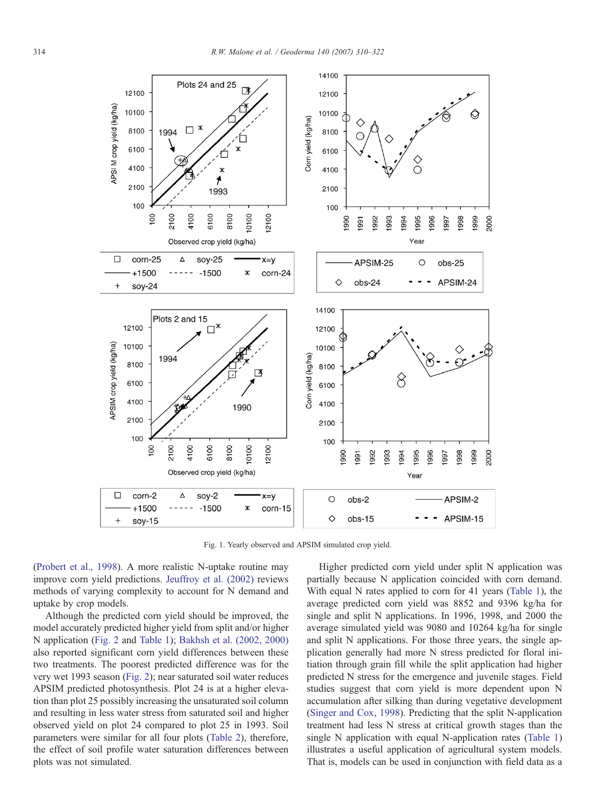<span id="page-4-0"></span>

Fig. 1. Yearly observed and APSIM simulated crop yield.

([Probert et al., 1998](#page-11-0)). A more realistic N-uptake routine may improve corn yield predictions. [Jeuffroy et al. \(2002\)](#page-11-0) reviews methods of varying complexity to account for N demand and uptake by crop models.

Although the predicted corn yield should be improved, the model accurately predicted higher yield from split and/or higher N application [\(Fig. 2](#page-5-0) and [Table 1](#page-1-0)); [Bakhsh et al. \(2002, 2000\)](#page-11-0) also reported significant corn yield differences between these two treatments. The poorest predicted difference was for the very wet 1993 season ([Fig. 2\)](#page-5-0); near saturated soil water reduces APSIM predicted photosynthesis. Plot 24 is at a higher elevation than plot 25 possibly increasing the unsaturated soil column and resulting in less water stress from saturated soil and higher observed yield on plot 24 compared to plot 25 in 1993. Soil parameters were similar for all four plots [\(Table 2\)](#page-2-0), therefore, the effect of soil profile water saturation differences between plots was not simulated.

Higher predicted corn yield under split N application was partially because N application coincided with corn demand. With equal N rates applied to corn for 41 years [\(Table 1\)](#page-1-0), the average predicted corn yield was 8852 and 9396 kg/ha for single and split N applications. In 1996, 1998, and 2000 the average simulated yield was 9080 and 10264 kg/ha for single and split N applications. For those three years, the single application generally had more N stress predicted for floral initiation through grain fill while the split application had higher predicted N stress for the emergence and juvenile stages. Field studies suggest that corn yield is more dependent upon N accumulation after silking than during vegetative development ([Singer and Cox, 1998](#page-11-0)). Predicting that the split N-application treatment had less N stress at critical growth stages than the single N application with equal N-application rates ([Table 1\)](#page-1-0) illustrates a useful application of agricultural system models. That is, models can be used in conjunction with field data as a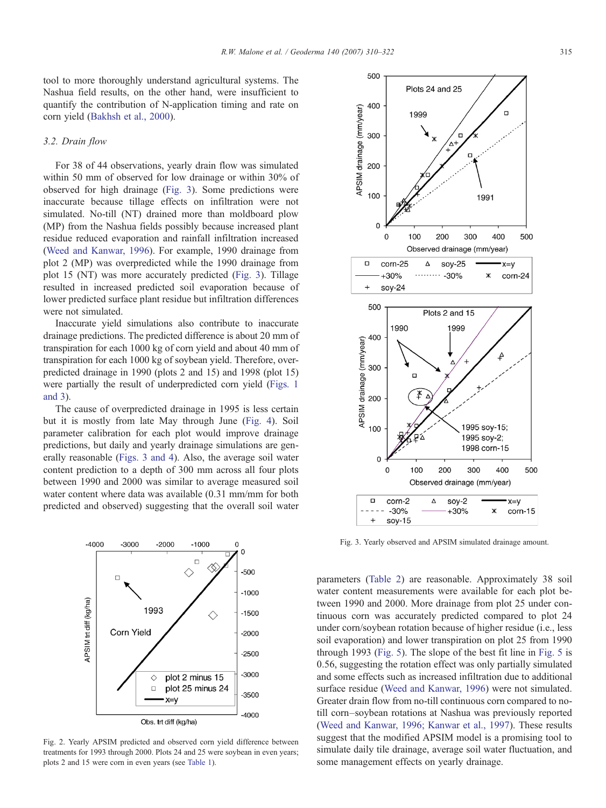<span id="page-5-0"></span>tool to more thoroughly understand agricultural systems. The Nashua field results, on the other hand, were insufficient to quantify the contribution of N-application timing and rate on corn yield [\(Bakhsh et al., 2000\)](#page-11-0).

# 3.2. Drain flow

For 38 of 44 observations, yearly drain flow was simulated within 50 mm of observed for low drainage or within 30% of observed for high drainage (Fig. 3). Some predictions were inaccurate because tillage effects on infiltration were not simulated. No-till (NT) drained more than moldboard plow (MP) from the Nashua fields possibly because increased plant residue reduced evaporation and rainfall infiltration increased ([Weed and Kanwar, 1996\)](#page-12-0). For example, 1990 drainage from plot 2 (MP) was overpredicted while the 1990 drainage from plot 15 (NT) was more accurately predicted (Fig. 3). Tillage resulted in increased predicted soil evaporation because of lower predicted surface plant residue but infiltration differences were not simulated.

Inaccurate yield simulations also contribute to inaccurate drainage predictions. The predicted difference is about 20 mm of transpiration for each 1000 kg of corn yield and about 40 mm of transpiration for each 1000 kg of soybean yield. Therefore, overpredicted drainage in 1990 (plots 2 and 15) and 1998 (plot 15) were partially the result of underpredicted corn yield [\(Figs. 1](#page-4-0) [and 3](#page-4-0)).

The cause of overpredicted drainage in 1995 is less certain but it is mostly from late May through June ([Fig. 4](#page-6-0)). Soil parameter calibration for each plot would improve drainage predictions, but daily and yearly drainage simulations are generally reasonable (Figs. 3 and 4). Also, the average soil water content prediction to a depth of 300 mm across all four plots between 1990 and 2000 was similar to average measured soil water content where data was available (0.31 mm/mm for both predicted and observed) suggesting that the overall soil water



Fig. 2. Yearly APSIM predicted and observed corn yield difference between treatments for 1993 through 2000. Plots 24 and 25 were soybean in even years; plots 2 and 15 were corn in even years (see [Table 1](#page-1-0)).



Fig. 3. Yearly observed and APSIM simulated drainage amount.

parameters ([Table 2](#page-2-0)) are reasonable. Approximately 38 soil water content measurements were available for each plot between 1990 and 2000. More drainage from plot 25 under continuous corn was accurately predicted compared to plot 24 under corn/soybean rotation because of higher residue (i.e., less soil evaporation) and lower transpiration on plot 25 from 1990 through 1993 [\(Fig. 5\)](#page-7-0). The slope of the best fit line in [Fig. 5](#page-7-0) is 0.56, suggesting the rotation effect was only partially simulated and some effects such as increased infiltration due to additional surface residue ([Weed and Kanwar, 1996](#page-12-0)) were not simulated. Greater drain flow from no-till continuous corn compared to notill corn–soybean rotations at Nashua was previously reported ([Weed and Kanwar, 1996; Kanwar et al., 1997\)](#page-12-0). These results suggest that the modified APSIM model is a promising tool to simulate daily tile drainage, average soil water fluctuation, and some management effects on yearly drainage.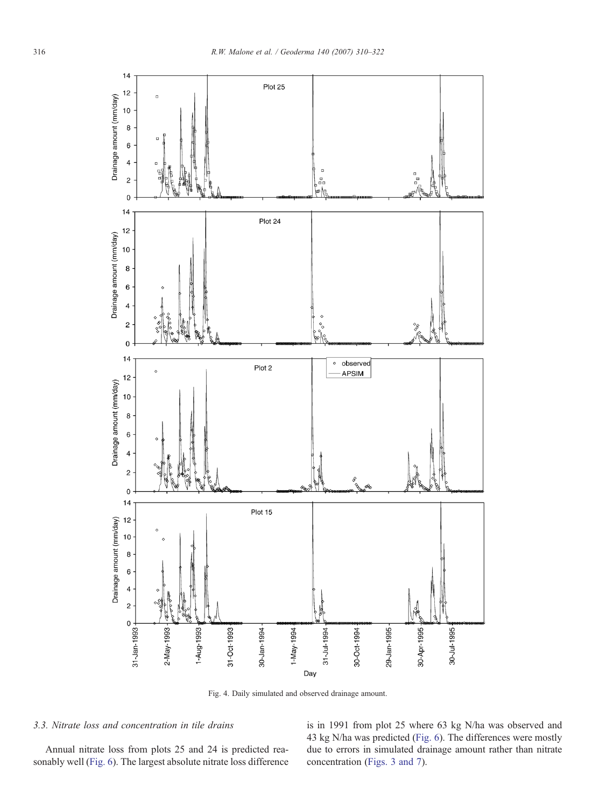<span id="page-6-0"></span>

Fig. 4. Daily simulated and observed drainage amount.

# 3.3. Nitrate loss and concentration in tile drains

Annual nitrate loss from plots 25 and 24 is predicted reasonably well ([Fig. 6\)](#page-7-0). The largest absolute nitrate loss difference is in 1991 from plot 25 where 63 kg N/ha was observed and 43 kg N/ha was predicted ([Fig. 6\)](#page-7-0). The differences were mostly due to errors in simulated drainage amount rather than nitrate concentration ([Figs. 3 and 7\)](#page-5-0).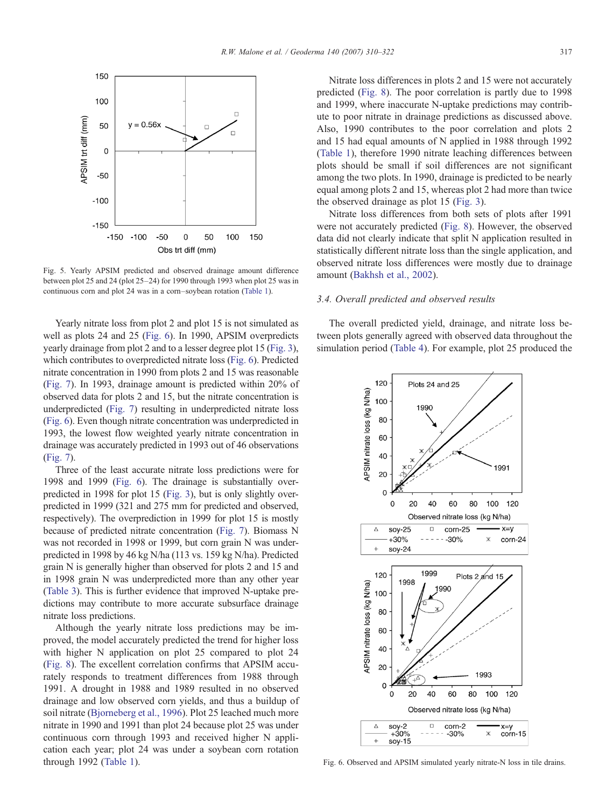<span id="page-7-0"></span>

Fig. 5. Yearly APSIM predicted and observed drainage amount difference between plot 25 and 24 (plot 25–24) for 1990 through 1993 when plot 25 was in continuous corn and plot 24 was in a corn–soybean rotation [\(Table 1\)](#page-1-0).

Yearly nitrate loss from plot 2 and plot 15 is not simulated as well as plots 24 and 25 (Fig. 6). In 1990, APSIM overpredicts yearly drainage from plot 2 and to a lesser degree plot 15 ([Fig. 3\)](#page-5-0), which contributes to overpredicted nitrate loss (Fig. 6). Predicted nitrate concentration in 1990 from plots 2 and 15 was reasonable ([Fig. 7\)](#page-8-0). In 1993, drainage amount is predicted within 20% of observed data for plots 2 and 15, but the nitrate concentration is underpredicted ([Fig. 7\)](#page-8-0) resulting in underpredicted nitrate loss (Fig. 6). Even though nitrate concentration was underpredicted in 1993, the lowest flow weighted yearly nitrate concentration in drainage was accurately predicted in 1993 out of 46 observations ([Fig. 7\)](#page-8-0).

Three of the least accurate nitrate loss predictions were for 1998 and 1999 (Fig. 6). The drainage is substantially overpredicted in 1998 for plot 15 ([Fig. 3\)](#page-5-0), but is only slightly overpredicted in 1999 (321 and 275 mm for predicted and observed, respectively). The overprediction in 1999 for plot 15 is mostly because of predicted nitrate concentration [\(Fig. 7\)](#page-8-0). Biomass N was not recorded in 1998 or 1999, but corn grain N was underpredicted in 1998 by 46 kg N/ha (113 vs. 159 kg N/ha). Predicted grain N is generally higher than observed for plots 2 and 15 and in 1998 grain N was underpredicted more than any other year ([Table 3](#page-3-0)). This is further evidence that improved N-uptake predictions may contribute to more accurate subsurface drainage nitrate loss predictions.

Although the yearly nitrate loss predictions may be improved, the model accurately predicted the trend for higher loss with higher N application on plot 25 compared to plot 24 ([Fig. 8\)](#page-9-0). The excellent correlation confirms that APSIM accurately responds to treatment differences from 1988 through 1991. A drought in 1988 and 1989 resulted in no observed drainage and low observed corn yields, and thus a buildup of soil nitrate [\(Bjorneberg et al., 1996](#page-11-0)). Plot 25 leached much more nitrate in 1990 and 1991 than plot 24 because plot 25 was under continuous corn through 1993 and received higher N application each year; plot 24 was under a soybean corn rotation through 1992 ([Table 1](#page-1-0)).

Nitrate loss differences in plots 2 and 15 were not accurately predicted [\(Fig. 8\)](#page-9-0). The poor correlation is partly due to 1998 and 1999, where inaccurate N-uptake predictions may contribute to poor nitrate in drainage predictions as discussed above. Also, 1990 contributes to the poor correlation and plots 2 and 15 had equal amounts of N applied in 1988 through 1992 ([Table 1](#page-1-0)), therefore 1990 nitrate leaching differences between plots should be small if soil differences are not significant among the two plots. In 1990, drainage is predicted to be nearly equal among plots 2 and 15, whereas plot 2 had more than twice the observed drainage as plot 15 ([Fig. 3](#page-5-0)).

Nitrate loss differences from both sets of plots after 1991 were not accurately predicted ([Fig. 8\)](#page-9-0). However, the observed data did not clearly indicate that split N application resulted in statistically different nitrate loss than the single application, and observed nitrate loss differences were mostly due to drainage amount [\(Bakhsh et al., 2002](#page-11-0)).

## 3.4. Overall predicted and observed results

The overall predicted yield, drainage, and nitrate loss between plots generally agreed with observed data throughout the simulation period [\(Table 4\)](#page-9-0). For example, plot 25 produced the



Fig. 6. Observed and APSIM simulated yearly nitrate-N loss in tile drains.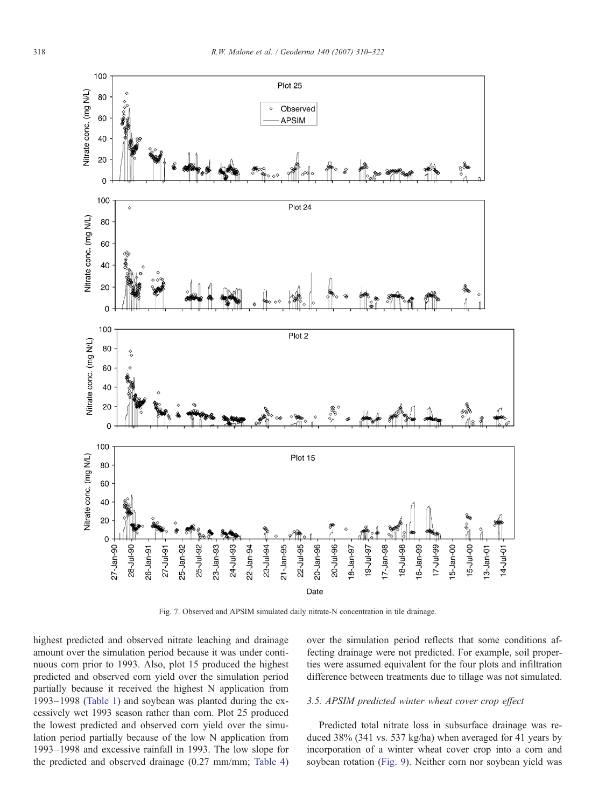<span id="page-8-0"></span>

Fig. 7. Observed and APSIM simulated daily nitrate-N concentration in tile drainage.

highest predicted and observed nitrate leaching and drainage amount over the simulation period because it was under continuous corn prior to 1993. Also, plot 15 produced the highest predicted and observed corn yield over the simulation period partially because it received the highest N application from 1993–1998 [\(Table 1](#page-1-0)) and soybean was planted during the excessively wet 1993 season rather than corn. Plot 25 produced the lowest predicted and observed corn yield over the simulation period partially because of the low N application from 1993–1998 and excessive rainfall in 1993. The low slope for the predicted and observed drainage (0.27 mm/mm; [Table 4\)](#page-9-0) over the simulation period reflects that some conditions affecting drainage were not predicted. For example, soil properties were assumed equivalent for the four plots and infiltration difference between treatments due to tillage was not simulated.

## 3.5. APSIM predicted winter wheat cover crop effect

Predicted total nitrate loss in subsurface drainage was reduced 38% (341 vs. 537 kg/ha) when averaged for 41 years by incorporation of a winter wheat cover crop into a corn and soybean rotation ([Fig. 9\)](#page-9-0). Neither corn nor soybean yield was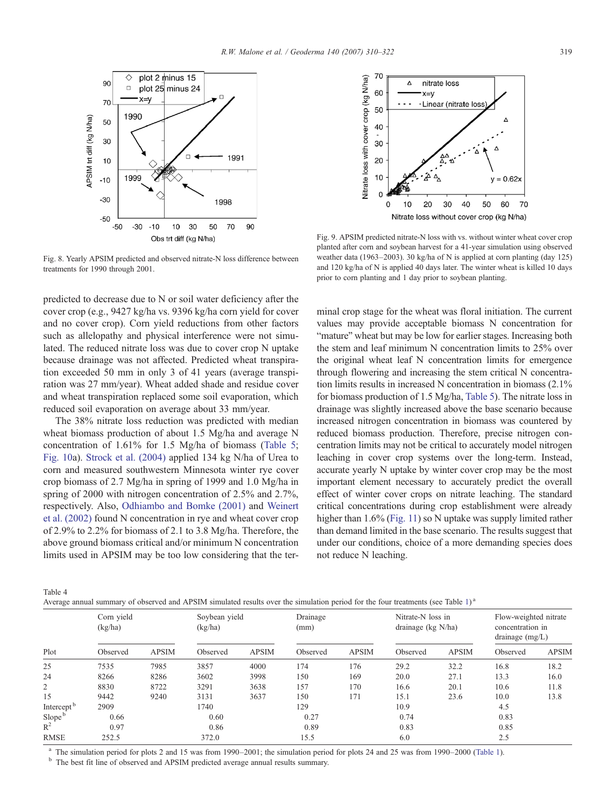<span id="page-9-0"></span>

Fig. 8. Yearly APSIM predicted and observed nitrate-N loss difference between treatments for 1990 through 2001.

predicted to decrease due to N or soil water deficiency after the cover crop (e.g., 9427 kg/ha vs. 9396 kg/ha corn yield for cover and no cover crop). Corn yield reductions from other factors such as allelopathy and physical interference were not simulated. The reduced nitrate loss was due to cover crop N uptake because drainage was not affected. Predicted wheat transpiration exceeded 50 mm in only 3 of 41 years (average transpiration was 27 mm/year). Wheat added shade and residue cover and wheat transpiration replaced some soil evaporation, which reduced soil evaporation on average about 33 mm/year.

The 38% nitrate loss reduction was predicted with median wheat biomass production of about 1.5 Mg/ha and average N concentration of 1.61% for 1.5 Mg/ha of biomass ([Table 5;](#page-10-0) [Fig. 10](#page-10-0)a). [Strock et al. \(2004\)](#page-11-0) applied 134 kg N/ha of Urea to corn and measured southwestern Minnesota winter rye cover crop biomass of 2.7 Mg/ha in spring of 1999 and 1.0 Mg/ha in spring of 2000 with nitrogen concentration of 2.5% and 2.7%, respectively. Also, [Odhiambo and Bomke \(2001\)](#page-11-0) and [Weinert](#page-12-0) [et al. \(2002\)](#page-12-0) found N concentration in rye and wheat cover crop of 2.9% to 2.2% for biomass of 2.1 to 3.8 Mg/ha. Therefore, the above ground biomass critical and/or minimum N concentration limits used in APSIM may be too low considering that the ter-



Fig. 9. APSIM predicted nitrate-N loss with vs. without winter wheat cover crop planted after corn and soybean harvest for a 41-year simulation using observed weather data (1963–2003). 30 kg/ha of N is applied at corn planting (day 125) and 120 kg/ha of N is applied 40 days later. The winter wheat is killed 10 days prior to corn planting and 1 day prior to soybean planting.

minal crop stage for the wheat was floral initiation. The current values may provide acceptable biomass N concentration for "mature" wheat but may be low for earlier stages. Increasing both the stem and leaf minimum N concentration limits to 25% over the original wheat leaf N concentration limits for emergence through flowering and increasing the stem critical N concentration limits results in increased N concentration in biomass (2.1% for biomass production of 1.5 Mg/ha, [Table 5](#page-10-0)). The nitrate loss in drainage was slightly increased above the base scenario because increased nitrogen concentration in biomass was countered by reduced biomass production. Therefore, precise nitrogen concentration limits may not be critical to accurately model nitrogen leaching in cover crop systems over the long-term. Instead, accurate yearly N uptake by winter cover crop may be the most important element necessary to accurately predict the overall effect of winter cover crops on nitrate leaching. The standard critical concentrations during crop establishment were already higher than 1.6% [\(Fig. 11\)](#page-10-0) so N uptake was supply limited rather than demand limited in the base scenario. The results suggest that under our conditions, choice of a more demanding species does not reduce N leaching.

Table 4

Average annual summary of observed and APSIM simulated results over the simulation period for the four treatments (see Table [1](#page-1-0))<sup>a</sup>

|                        | Corn yield<br>(kg/ha) |              | Soybean yield<br>(kg/ha) |              | Drainage<br>(mm) |              | Nitrate-N loss in<br>drainage ( $kg$ N/ha) |              | Flow-weighted nitrate<br>concentration in<br>drainage $(mg/L)$ |              |
|------------------------|-----------------------|--------------|--------------------------|--------------|------------------|--------------|--------------------------------------------|--------------|----------------------------------------------------------------|--------------|
| Plot                   | Observed              | <b>APSIM</b> | Observed                 | <b>APSIM</b> | Observed         | <b>APSIM</b> | Observed                                   | <b>APSIM</b> | Observed                                                       | <b>APSIM</b> |
| 25                     | 7535                  | 7985         | 3857                     | 4000         | 174              | 176          | 29.2                                       | 32.2         | 16.8                                                           | 18.2         |
| 24                     | 8266                  | 8286         | 3602                     | 3998         | 150              | 169          | 20.0                                       | 27.1         | 13.3                                                           | 16.0         |
| $\overline{2}$         | 8830                  | 8722         | 3291                     | 3638         | 157              | 170          | 16.6                                       | 20.1         | 10.6                                                           | 11.8         |
| 15                     | 9442                  | 9240         | 3131                     | 3637         | 150              | 171          | 15.1                                       | 23.6         | 10.0                                                           | 13.8         |
| Intercept <sup>b</sup> | 2909                  |              | 1740                     |              | 129              |              | 10.9                                       |              | 4.5                                                            |              |
| Slope <sup>b</sup>     | 0.66                  |              | 0.60                     |              | 0.27             |              | 0.74                                       |              | 0.83                                                           |              |
| $R^2$                  | 0.97                  |              | 0.86                     |              | 0.89             |              | 0.83                                       |              | 0.85                                                           |              |
| <b>RMSE</b>            | 252.5                 |              | 372.0                    |              | 15.5             |              | 6.0                                        |              | 2.5                                                            |              |

<sup>a</sup> The simulation period for plots 2 and 15 was from 1990–2001; the simulation period for plots 24 and 25 was from 1990–2000 ([Table 1\)](#page-1-0).  $\frac{1}{\nu}$  The best fit line of observed and APSIM predicted average annual results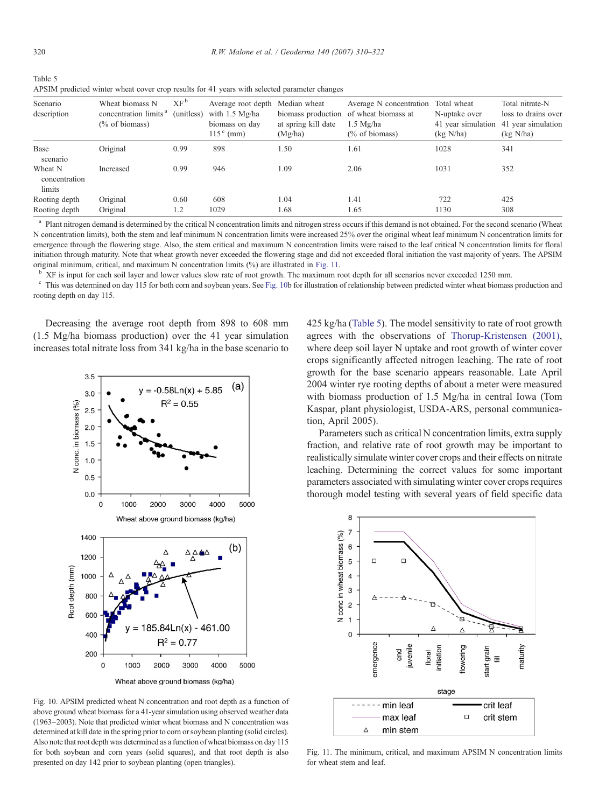<span id="page-10-0"></span>

| Table 5                                                                                      |
|----------------------------------------------------------------------------------------------|
| APSIM predicted winter wheat cover crop results for 41 years with selected parameter changes |

| Scenario<br>description            | Wheat biomass N<br>concentration limits <sup>a</sup><br>$\frac{6}{6}$ of biomass) | XF <sup>b</sup><br>(unitless) | Average root depth<br>with $1.5 \text{ Mg/ha}$<br>biomass on day<br>$115c$ (mm) | Median wheat<br>biomass production<br>at spring kill date<br>(Mg/ha) | Average N concentration<br>of wheat biomass at<br>$1.5 \text{ Me/ha}$<br>$(\%$ of biomass) | Total wheat<br>N-uptake over<br>41 year simulation<br>(kg N/ha) | Total nitrate-N<br>loss to drains over<br>41 year simulation<br>(kg N/ha) |
|------------------------------------|-----------------------------------------------------------------------------------|-------------------------------|---------------------------------------------------------------------------------|----------------------------------------------------------------------|--------------------------------------------------------------------------------------------|-----------------------------------------------------------------|---------------------------------------------------------------------------|
| Base<br>scenario                   | Original                                                                          | 0.99                          | 898                                                                             | 1.50                                                                 | 1.61                                                                                       | 1028                                                            | 341                                                                       |
| Wheat N<br>concentration<br>limits | Increased                                                                         | 0.99                          | 946                                                                             | 1.09                                                                 | 2.06                                                                                       | 1031                                                            | 352                                                                       |
| Rooting depth                      | Original                                                                          | 0.60                          | 608                                                                             | 1.04                                                                 | 1.41                                                                                       | 722                                                             | 425                                                                       |
| Rooting depth                      | Original                                                                          | 1.2                           | 1029                                                                            | 1.68                                                                 | 1.65                                                                                       | 1130                                                            | 308                                                                       |

<sup>a</sup> Plant nitrogen demand is determined by the critical N concentration limits and nitrogen stress occurs if this demand is not obtained. For the second scenario (Wheat N concentration limits), both the stem and leaf minimum N concentration limits were increased 25% over the original wheat leaf minimum N concentration limits for emergence through the flowering stage. Also, the stem critical and maximum N concentration limits were raised to the leaf critical N concentration limits for floral initiation through maturity. Note that wheat growth never exceeded the flowering stage and did not exceeded floral initiation the vast majority of years. The APSIM

original minimum, critical, and maximum N concentration limits (%) are illustrated in Fig. 11.<br><sup>b</sup> XF is input for each soil layer and lower values slow rate of root growth. The maximum root depth for all scenarios never e rooting depth on day 115.

Decreasing the average root depth from 898 to 608 mm (1.5 Mg/ha biomass production) over the 41 year simulation increases total nitrate loss from 341 kg/ha in the base scenario to



Fig. 10. APSIM predicted wheat N concentration and root depth as a function of above ground wheat biomass for a 41-year simulation using observed weather data (1963–2003). Note that predicted winter wheat biomass and N concentration was determined at kill date in the spring prior to corn or soybean planting (solid circles). Also note that root depth was determined as a function of wheat biomass on day 115 for both soybean and corn years (solid squares), and that root depth is also presented on day 142 prior to soybean planting (open triangles).

425 kg/ha (Table 5). The model sensitivity to rate of root growth agrees with the observations of [Thorup-Kristensen \(2001\)](#page-12-0), where deep soil layer N uptake and root growth of winter cover crops significantly affected nitrogen leaching. The rate of root growth for the base scenario appears reasonable. Late April 2004 winter rye rooting depths of about a meter were measured with biomass production of 1.5 Mg/ha in central Iowa (Tom Kaspar, plant physiologist, USDA-ARS, personal communication, April 2005).

Parameters such as critical N concentration limits, extra supply fraction, and relative rate of root growth may be important to realistically simulate winter cover crops and their effects on nitrate leaching. Determining the correct values for some important parameters associated with simulating winter cover crops requires thorough model testing with several years of field specific data



Fig. 11. The minimum, critical, and maximum APSIM N concentration limits for wheat stem and leaf.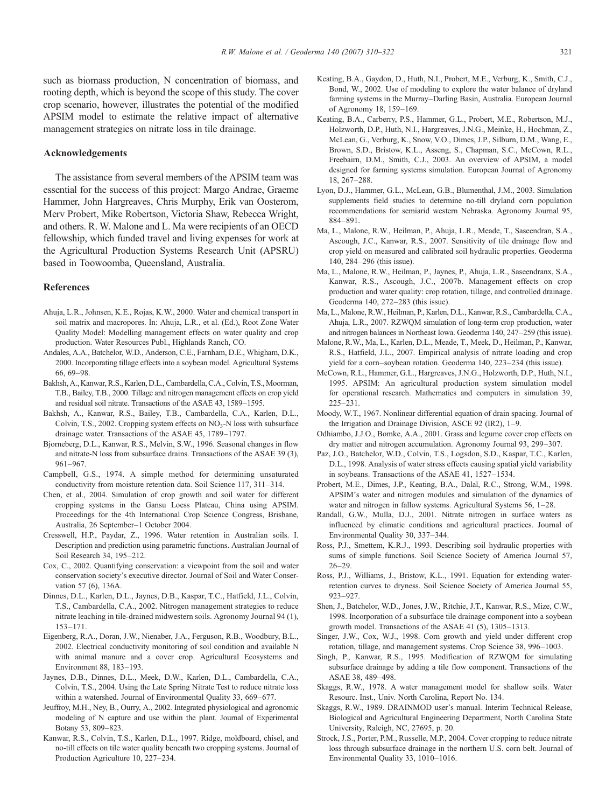<span id="page-11-0"></span>such as biomass production, N concentration of biomass, and rooting depth, which is beyond the scope of this study. The cover crop scenario, however, illustrates the potential of the modified APSIM model to estimate the relative impact of alternative management strategies on nitrate loss in tile drainage.

# Acknowledgements

The assistance from several members of the APSIM team was essential for the success of this project: Margo Andrae, Graeme Hammer, John Hargreaves, Chris Murphy, Erik van Oosterom, Merv Probert, Mike Robertson, Victoria Shaw, Rebecca Wright, and others. R. W. Malone and L. Ma were recipients of an OECD fellowship, which funded travel and living expenses for work at the Agricultural Production Systems Research Unit (APSRU) based in Toowoomba, Queensland, Australia.

#### References

- Ahuja, L.R., Johnsen, K.E., Rojas, K.W., 2000. Water and chemical transport in soil matrix and macropores. In: Ahuja, L.R., et al. (Ed.), Root Zone Water Quality Model: Modelling management effects on water quality and crop production. Water Resources Publ., Highlands Ranch, CO.
- Andales, A.A., Batchelor, W.D., Anderson, C.E., Farnham, D.E., Whigham, D.K., 2000. Incorporating tillage effects into a soybean model. Agricultural Systems 66, 69–98.
- Bakhsh, A., Kanwar, R.S., Karlen, D.L., Cambardella, C.A., Colvin, T.S., Moorman, T.B., Bailey, T.B., 2000. Tillage and nitrogen management effects on crop yield and residual soil nitrate. Transactions of the ASAE 43, 1589–1595.
- Bakhsh, A., Kanwar, R.S., Bailey, T.B., Cambardella, C.A., Karlen, D.L., Colvin, T.S., 2002. Cropping system effects on  $NO<sub>3</sub>-N$  loss with subsurface drainage water. Transactions of the ASAE 45, 1789–1797.
- Bjorneberg, D.L., Kanwar, R.S., Melvin, S.W., 1996. Seasonal changes in flow and nitrate-N loss from subsurface drains. Transactions of the ASAE 39 (3), 961–967.
- Campbell, G.S., 1974. A simple method for determining unsaturated conductivity from moisture retention data. Soil Science 117, 311–314.
- Chen, et al., 2004. Simulation of crop growth and soil water for different cropping systems in the Gansu Loess Plateau, China using APSIM. Proceedings for the 4th International Crop Science Congress, Brisbane, Australia, 26 September–1 October 2004.
- Cresswell, H.P., Paydar, Z., 1996. Water retention in Australian soils. I. Description and prediction using parametric functions. Australian Journal of Soil Research 34, 195–212.
- Cox, C., 2002. Quantifying conservation: a viewpoint from the soil and water conservation society's executive director. Journal of Soil and Water Conservation 57 (6), 136A.
- Dinnes, D.L., Karlen, D.L., Jaynes, D.B., Kaspar, T.C., Hatfield, J.L., Colvin, T.S., Cambardella, C.A., 2002. Nitrogen management strategies to reduce nitrate leaching in tile-drained midwestern soils. Agronomy Journal 94 (1), 153–171.
- Eigenberg, R.A., Doran, J.W., Nienaber, J.A., Ferguson, R.B., Woodbury, B.L., 2002. Electrical conductivity monitoring of soil condition and available N with animal manure and a cover crop. Agricultural Ecosystems and Environment 88, 183–193.
- Jaynes, D.B., Dinnes, D.L., Meek, D.W., Karlen, D.L., Cambardella, C.A., Colvin, T.S., 2004. Using the Late Spring Nitrate Test to reduce nitrate loss within a watershed. Journal of Environmental Quality 33, 669–677.
- Jeuffroy, M.H., Ney, B., Ourry, A., 2002. Integrated physiological and agronomic modeling of N capture and use within the plant. Journal of Experimental Botany 53, 809–823.
- Kanwar, R.S., Colvin, T.S., Karlen, D.L., 1997. Ridge, moldboard, chisel, and no-till effects on tile water quality beneath two cropping systems. Journal of Production Agriculture 10, 227–234.
- Keating, B.A., Gaydon, D., Huth, N.I., Probert, M.E., Verburg, K., Smith, C.J., Bond, W., 2002. Use of modeling to explore the water balance of dryland farming systems in the Murray–Darling Basin, Australia. European Journal of Agronomy 18, 159–169.
- Keating, B.A., Carberry, P.S., Hammer, G.L., Probert, M.E., Robertson, M.J., Holzworth, D.P., Huth, N.I., Hargreaves, J.N.G., Meinke, H., Hochman, Z., McLean, G., Verburg, K., Snow, V.O., Dimes, J.P., Silburn, D.M., Wang, E., Brown, S.D., Bristow, K.L., Asseng, S., Chapman, S.C., McCown, R.L., Freebairn, D.M., Smith, C.J., 2003. An overview of APSIM, a model designed for farming systems simulation. European Journal of Agronomy 18, 267–288.
- Lyon, D.J., Hammer, G.L., McLean, G.B., Blumenthal, J.M., 2003. Simulation supplements field studies to determine no-till dryland corn population recommendations for semiarid western Nebraska. Agronomy Journal 95, 884–891.
- Ma, L., Malone, R.W., Heilman, P., Ahuja, L.R., Meade, T., Saseendran, S.A., Ascough, J.C., Kanwar, R.S., 2007. Sensitivity of tile drainage flow and crop yield on measured and calibrated soil hydraulic properties. Geoderma 140, 284–296 (this issue).
- Ma, L., Malone, R.W., Heilman, P., Jaynes, P., Ahuja, L.R., Saseendranx, S.A., Kanwar, R.S., Ascough, J.C., 2007b. Management effects on crop production and water quality: crop rotation, tillage, and controlled drainage. Geoderma 140, 272–283 (this issue).
- Ma, L., Malone, R.W., Heilman, P., Karlen, D.L., Kanwar, R.S., Cambardella, C.A., Ahuja, L.R., 2007. RZWQM simulation of long-term crop production, water and nitrogen balances in Northeast Iowa. Geoderma 140, 247–259 (this issue).
- Malone, R.W., Ma, L., Karlen, D.L., Meade, T., Meek, D., Heilman, P., Kanwar, R.S., Hatfield, J.L., 2007. Empirical analysis of nitrate loading and crop yield for a corn–soybean rotation. Geoderma 140, 223–234 (this issue).
- McCown, R.L., Hammer, G.L., Hargreaves, J.N.G., Holzworth, D.P., Huth, N.I., 1995. APSIM: An agricultural production system simulation model for operational research. Mathematics and computers in simulation 39, 225–231.
- Moody, W.T., 1967. Nonlinear differential equation of drain spacing. Journal of the Irrigation and Drainage Division, ASCE 92 (IR2), 1–9.
- Odhiambo, J.J.O., Bomke, A.A., 2001. Grass and legume cover crop effects on dry matter and nitrogen accumulation. Agronomy Journal 93, 299–307.
- Paz, J.O., Batchelor, W.D., Colvin, T.S., Logsdon, S.D., Kaspar, T.C., Karlen, D.L., 1998. Analysis of water stress effects causing spatial yield variability in soybeans. Transactions of the ASAE 41, 1527–1534.
- Probert, M.E., Dimes, J.P., Keating, B.A., Dalal, R.C., Strong, W.M., 1998. APSIM's water and nitrogen modules and simulation of the dynamics of water and nitrogen in fallow systems. Agricultural Systems 56, 1–28.
- Randall, G.W., Mulla, D.J., 2001. Nitrate nitrogen in surface waters as influenced by climatic conditions and agricultural practices. Journal of Environmental Quality 30, 337–344.
- Ross, P.J., Smettem, K.R.J., 1993. Describing soil hydraulic properties with sums of simple functions. Soil Science Society of America Journal 57, 26–29.
- Ross, P.J., Williams, J., Bristow, K.L., 1991. Equation for extending waterretention curves to dryness. Soil Science Society of America Journal 55, 923–927.
- Shen, J., Batchelor, W.D., Jones, J.W., Ritchie, J.T., Kanwar, R.S., Mize, C.W., 1998. Incorporation of a subsurface tile drainage component into a soybean growth model. Transactions of the ASAE 41 (5), 1305–1313.
- Singer, J.W., Cox, W.J., 1998. Corn growth and yield under different crop rotation, tillage, and management systems. Crop Science 38, 996–1003.
- Singh, P., Kanwar, R.S., 1995. Modification of RZWQM for simulating subsurface drainage by adding a tile flow component. Transactions of the ASAE 38, 489–498.
- Skaggs, R.W., 1978. A water management model for shallow soils. Water Resourc. Inst., Univ. North Carolina, Report No. 134.
- Skaggs, R.W., 1989. DRAINMOD user's manual. Interim Technical Release, Biological and Agricultural Engineering Department, North Carolina State University, Raleigh, NC, 27695, p. 20.
- Strock, J.S., Porter, P.M., Russelle, M.P., 2004. Cover cropping to reduce nitrate loss through subsurface drainage in the northern U.S. corn belt. Journal of Environmental Quality 33, 1010–1016.